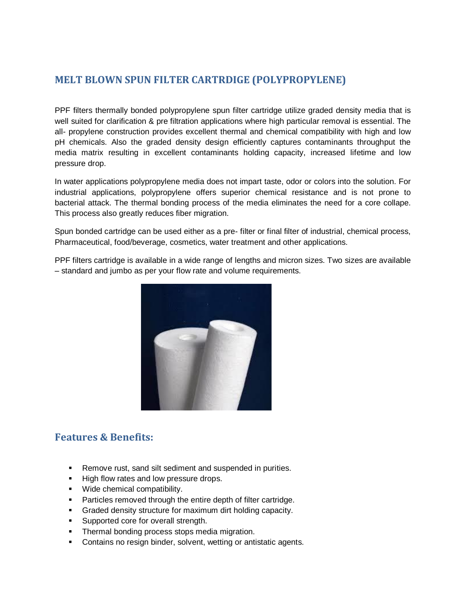### **MELT BLOWN SPUN FILTER CARTRDIGE (POLYPROPYLENE)**

PPF filters thermally bonded polypropylene spun filter cartridge utilize graded density media that is well suited for clarification & pre filtration applications where high particular removal is essential. The all- propylene construction provides excellent thermal and chemical compatibility with high and low pH chemicals. Also the graded density design efficiently captures contaminants throughput the media matrix resulting in excellent contaminants holding capacity, increased lifetime and low pressure drop.

In water applications polypropylene media does not impart taste, odor or colors into the solution. For industrial applications, polypropylene offers superior chemical resistance and is not prone to bacterial attack. The thermal bonding process of the media eliminates the need for a core collape. This process also greatly reduces fiber migration.

Spun bonded cartridge can be used either as a pre- filter or final filter of industrial, chemical process, Pharmaceutical, food/beverage, cosmetics, water treatment and other applications.

PPF filters cartridge is available in a wide range of lengths and micron sizes. Two sizes are available – standard and jumbo as per your flow rate and volume requirements.



#### **Features & Benefits:**

- Remove rust, sand silt sediment and suspended in purities.
- High flow rates and low pressure drops.
- **■** Wide chemical compatibility.
- Particles removed through the entire depth of filter cartridge.
- **Graded density structure for maximum dirt holding capacity.**
- **EXECUTE:** Supported core for overall strength.
- **Thermal bonding process stops media migration.**
- Contains no resign binder, solvent, wetting or antistatic agents.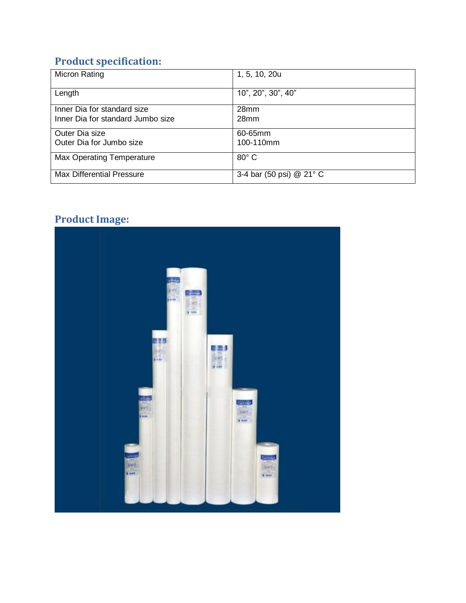# **Product specification:**

| <b>Micron Rating</b>              | 1, 5, 10, 20u            |
|-----------------------------------|--------------------------|
| Length                            | 10", 20", 30", 40"       |
| Inner Dia for standard size       | 28 <sub>mm</sub>         |
| Inner Dia for standard Jumbo size | 28 <sub>mm</sub>         |
| Outer Dia size                    | 60-65mm                  |
| Outer Dia for Jumbo size          | 100-110mm                |
| <b>Max Operating Temperature</b>  | $80^\circ$ C             |
| <b>Max Differential Pressure</b>  | 3-4 bar (50 psi) @ 21° C |

# **Product Image:**